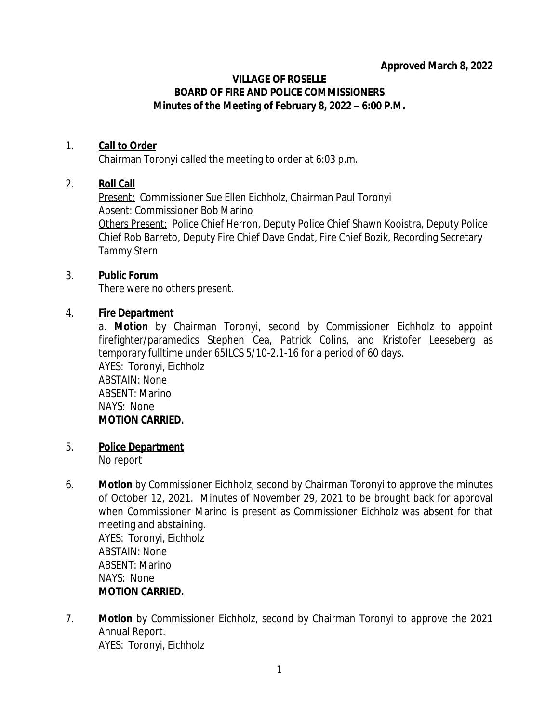#### **VILLAGE OF ROSELLE BOARD OF FIRE AND POLICE COMMISSIONERS Minutes of the Meeting of February 8, 2022 – 6:00 P.M.**

## 1. **Call to Order**

Chairman Toronyi called the meeting to order at 6:03 p.m.

## 2. **Roll Call**

*Present:* Commissioner Sue Ellen Eichholz, Chairman Paul Toronyi *Absent:* Commissioner Bob Marino *Others Present:* Police Chief Herron, Deputy Police Chief Shawn Kooistra, Deputy Police Chief Rob Barreto, Deputy Fire Chief Dave Gndat, Fire Chief Bozik, Recording Secretary Tammy Stern

## 3. **Public Forum**

There were no others present.

# 4. **Fire Department**

a. **Motion** by Chairman Toronyi, second by Commissioner Eichholz to appoint firefighter/paramedics Stephen Cea, Patrick Colins, and Kristofer Leeseberg as temporary fulltime under 65ILCS 5/10-2.1-16 for a period of 60 days. AYES: Toronyi, Eichholz ABSTAIN: None ABSENT: Marino NAYS: None **MOTION CARRIED.**

- 5. **Police Department** No report
- 6. **Motion** by Commissioner Eichholz, second by Chairman Toronyi to approve the minutes of October 12, 2021. Minutes of November 29, 2021 to be brought back for approval when Commissioner Marino is present as Commissioner Eichholz was absent for that meeting and abstaining. AYES: Toronyi, Eichholz ABSTAIN: None ABSENT: Marino NAYS: None **MOTION CARRIED.**
- 7. **Motion** by Commissioner Eichholz, second by Chairman Toronyi to approve the 2021 Annual Report. AYES: Toronyi, Eichholz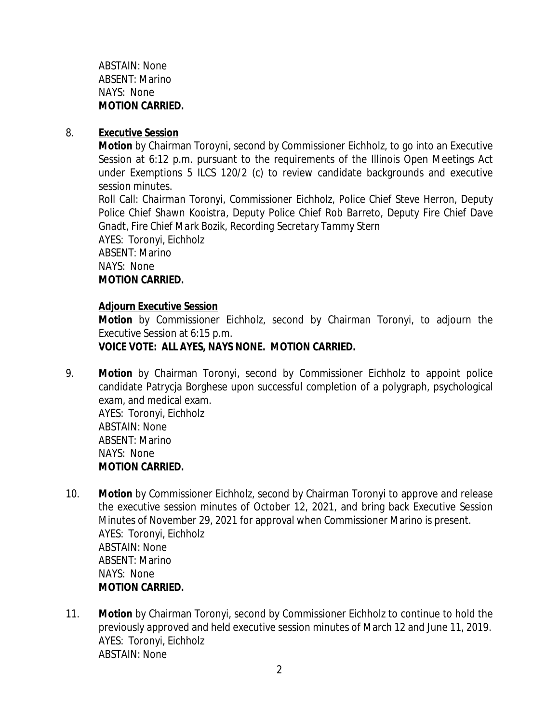ABSTAIN: None ABSENT: Marino NAYS: None **MOTION CARRIED.**

### 8. **Executive Session**

**Motion** by Chairman Toroyni, second by Commissioner Eichholz, to go into an Executive Session at 6:12 p.m. pursuant to the requirements of the Illinois Open Meetings Act under Exemptions 5 ILCS 120/2 (c) to review candidate backgrounds and executive session minutes.

Roll Call: *Chairman Toronyi, Commissioner Eichholz, Police Chief Steve Herron, Deputy Police Chief Shawn Kooistra, Deputy Police Chief Rob Barreto, Deputy Fire Chief Dave Gnadt, Fire Chief Mark Bozik, Recording Secretary Tammy Stern* AYES: Toronyi, Eichholz

ABSENT: Marino NAYS: None **MOTION CARRIED.**

#### **Adjourn Executive Session**

**Motion** by Commissioner Eichholz, second by Chairman Toronyi, to adjourn the Executive Session at 6:15 p.m.

## **VOICE VOTE: ALL AYES, NAYS NONE. MOTION CARRIED.**

9. **Motion** by Chairman Toronyi, second by Commissioner Eichholz to appoint police candidate Patrycja Borghese upon successful completion of a polygraph, psychological exam, and medical exam.

AYES: Toronyi, Eichholz ABSTAIN: None ABSENT: Marino NAYS: None **MOTION CARRIED.**

- 10. **Motion** by Commissioner Eichholz, second by Chairman Toronyi to approve and release the executive session minutes of October 12, 2021, and bring back Executive Session Minutes of November 29, 2021 for approval when Commissioner Marino is present. AYES: Toronyi, Eichholz ABSTAIN: None ABSENT: Marino NAYS: None **MOTION CARRIED.**
- 11. **Motion** by Chairman Toronyi, second by Commissioner Eichholz to continue to hold the previously approved and held executive session minutes of March 12 and June 11, 2019. AYES: Toronyi, Eichholz ABSTAIN: None